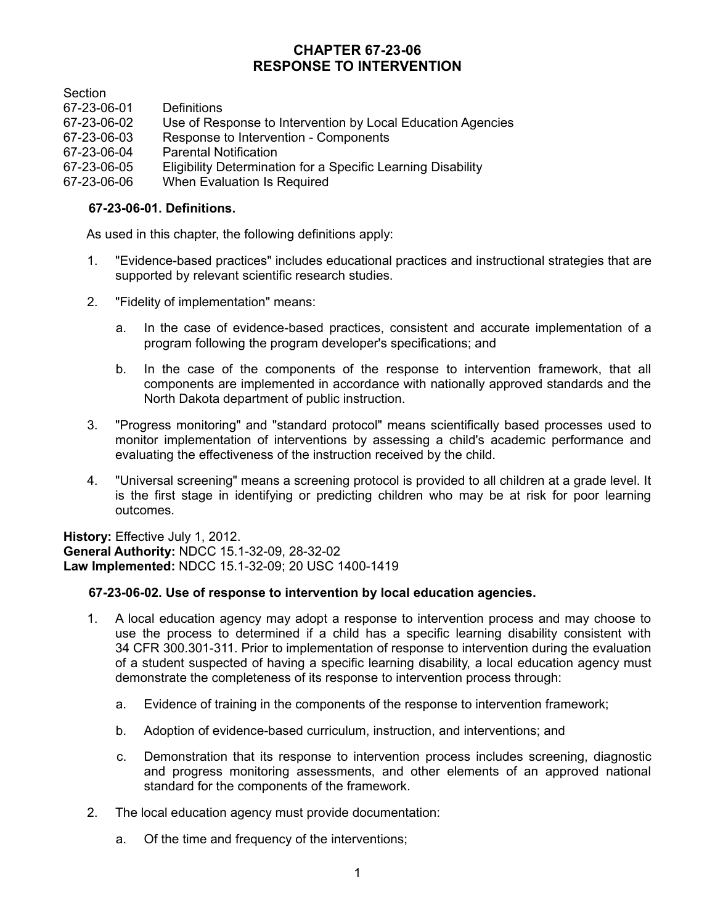# **CHAPTER 67-23-06 RESPONSE TO INTERVENTION**

**Section** 

| 67-23-06-01 | <b>Definitions</b>                                           |
|-------------|--------------------------------------------------------------|
| 67-23-06-02 | Use of Response to Intervention by Local Education Agencies  |
| 67-23-06-03 | Response to Intervention - Components                        |
| 67-23-06-04 | <b>Parental Notification</b>                                 |
| 67-23-06-05 | Eligibility Determination for a Specific Learning Disability |
| 67-23-06-06 | When Evaluation Is Required                                  |
|             |                                                              |

## **67-23-06-01. Definitions.**

As used in this chapter, the following definitions apply:

- 1. "Evidence-based practices" includes educational practices and instructional strategies that are supported by relevant scientific research studies.
- 2. "Fidelity of implementation" means:
	- a. In the case of evidence-based practices, consistent and accurate implementation of a program following the program developer's specifications; and
	- b. In the case of the components of the response to intervention framework, that all components are implemented in accordance with nationally approved standards and the North Dakota department of public instruction.
- 3. "Progress monitoring" and "standard protocol" means scientifically based processes used to monitor implementation of interventions by assessing a child's academic performance and evaluating the effectiveness of the instruction received by the child.
- 4. "Universal screening" means a screening protocol is provided to all children at a grade level. It is the first stage in identifying or predicting children who may be at risk for poor learning outcomes.

**History:** Effective July 1, 2012. **General Authority:** NDCC 15.1-32-09, 28-32-02 **Law Implemented:** NDCC 15.1-32-09; 20 USC 1400-1419

# **67-23-06-02. Use of response to intervention by local education agencies.**

- 1. A local education agency may adopt a response to intervention process and may choose to use the process to determined if a child has a specific learning disability consistent with 34 CFR 300.301-311. Prior to implementation of response to intervention during the evaluation of a student suspected of having a specific learning disability, a local education agency must demonstrate the completeness of its response to intervention process through:
	- a. Evidence of training in the components of the response to intervention framework;
	- b. Adoption of evidence-based curriculum, instruction, and interventions; and
	- c. Demonstration that its response to intervention process includes screening, diagnostic and progress monitoring assessments, and other elements of an approved national standard for the components of the framework.
- 2. The local education agency must provide documentation:
	- a. Of the time and frequency of the interventions;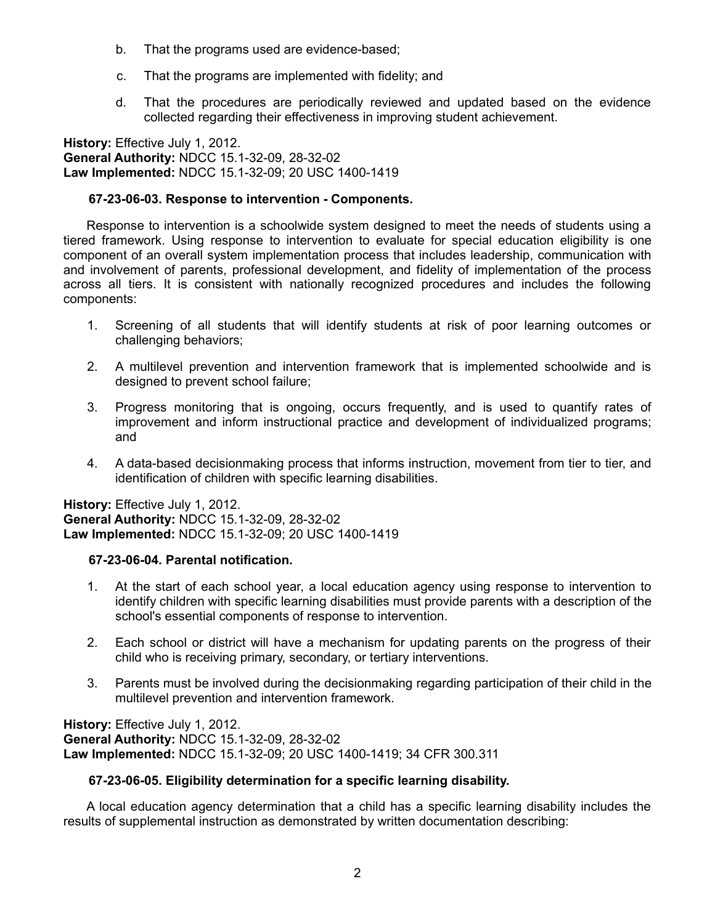- b. That the programs used are evidence-based;
- c. That the programs are implemented with fidelity; and
- d. That the procedures are periodically reviewed and updated based on the evidence collected regarding their effectiveness in improving student achievement.

**History:** Effective July 1, 2012. **General Authority:** NDCC 15.1-32-09, 28-32-02 **Law Implemented:** NDCC 15.1-32-09; 20 USC 1400-1419

### **67-23-06-03. Response to intervention - Components.**

Response to intervention is a schoolwide system designed to meet the needs of students using a tiered framework. Using response to intervention to evaluate for special education eligibility is one component of an overall system implementation process that includes leadership, communication with and involvement of parents, professional development, and fidelity of implementation of the process across all tiers. It is consistent with nationally recognized procedures and includes the following components:

- 1. Screening of all students that will identify students at risk of poor learning outcomes or challenging behaviors;
- 2. A multilevel prevention and intervention framework that is implemented schoolwide and is designed to prevent school failure;
- 3. Progress monitoring that is ongoing, occurs frequently, and is used to quantify rates of improvement and inform instructional practice and development of individualized programs; and
- 4. A data-based decisionmaking process that informs instruction, movement from tier to tier, and identification of children with specific learning disabilities.

**History:** Effective July 1, 2012. **General Authority:** NDCC 15.1-32-09, 28-32-02 **Law Implemented:** NDCC 15.1-32-09; 20 USC 1400-1419

#### **67-23-06-04. Parental notification.**

- 1. At the start of each school year, a local education agency using response to intervention to identify children with specific learning disabilities must provide parents with a description of the school's essential components of response to intervention.
- 2. Each school or district will have a mechanism for updating parents on the progress of their child who is receiving primary, secondary, or tertiary interventions.
- 3. Parents must be involved during the decisionmaking regarding participation of their child in the multilevel prevention and intervention framework.

**History:** Effective July 1, 2012. **General Authority:** NDCC 15.1-32-09, 28-32-02 **Law Implemented:** NDCC 15.1-32-09; 20 USC 1400-1419; 34 CFR 300.311

#### **67-23-06-05. Eligibility determination for a specific learning disability.**

A local education agency determination that a child has a specific learning disability includes the results of supplemental instruction as demonstrated by written documentation describing: